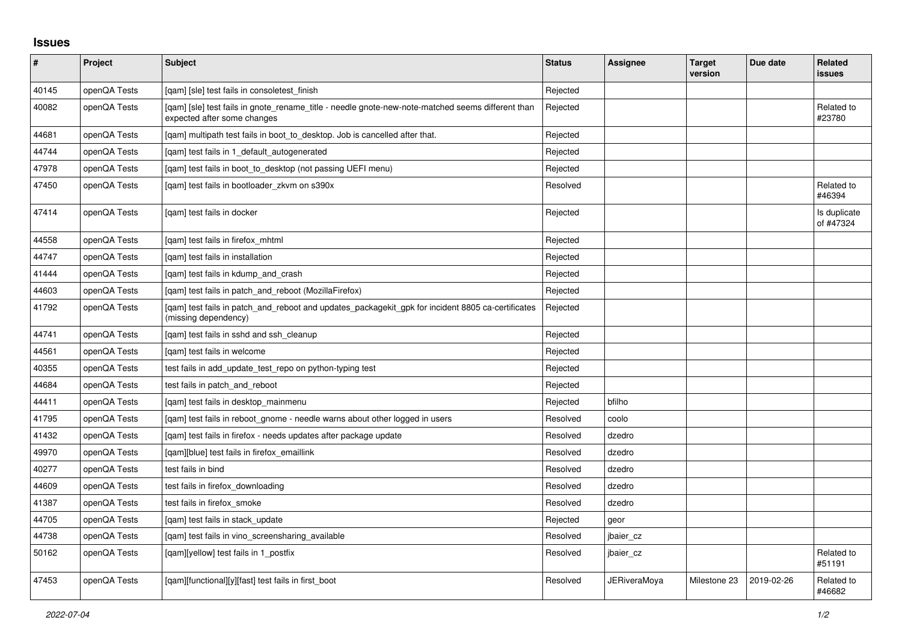## **Issues**

| $\sharp$ | Project      | Subject                                                                                                                          | <b>Status</b> | Assignee            | <b>Target</b><br>version | Due date   | <b>Related</b><br><b>issues</b> |
|----------|--------------|----------------------------------------------------------------------------------------------------------------------------------|---------------|---------------------|--------------------------|------------|---------------------------------|
| 40145    | openQA Tests | [gam] [sle] test fails in consoletest finish                                                                                     | Rejected      |                     |                          |            |                                 |
| 40082    | openQA Tests | [gam] [sle] test fails in gnote rename title - needle gnote-new-note-matched seems different than<br>expected after some changes | Rejected      |                     |                          |            | Related to<br>#23780            |
| 44681    | openQA Tests | [gam] multipath test fails in boot to desktop. Job is cancelled after that.                                                      | Rejected      |                     |                          |            |                                 |
| 44744    | openQA Tests | [gam] test fails in 1 default autogenerated                                                                                      | Rejected      |                     |                          |            |                                 |
| 47978    | openQA Tests | [qam] test fails in boot_to_desktop (not passing UEFI menu)                                                                      | Rejected      |                     |                          |            |                                 |
| 47450    | openQA Tests | [gam] test fails in bootloader zkvm on s390x                                                                                     | Resolved      |                     |                          |            | Related to<br>#46394            |
| 47414    | openQA Tests | [gam] test fails in docker                                                                                                       | Rejected      |                     |                          |            | Is duplicate<br>of #47324       |
| 44558    | openQA Tests | [qam] test fails in firefox_mhtml                                                                                                | Rejected      |                     |                          |            |                                 |
| 44747    | openQA Tests | [gam] test fails in installation                                                                                                 | Rejected      |                     |                          |            |                                 |
| 41444    | openQA Tests | [gam] test fails in kdump and crash                                                                                              | Rejected      |                     |                          |            |                                 |
| 44603    | openQA Tests | [gam] test fails in patch and reboot (MozillaFirefox)                                                                            | Rejected      |                     |                          |            |                                 |
| 41792    | openQA Tests | [gam] test fails in patch and reboot and updates packagekit gpk for incident 8805 ca-certificates<br>(missing dependency)        | Rejected      |                     |                          |            |                                 |
| 44741    | openQA Tests | [gam] test fails in sshd and ssh cleanup                                                                                         | Rejected      |                     |                          |            |                                 |
| 44561    | openQA Tests | [gam] test fails in welcome                                                                                                      | Rejected      |                     |                          |            |                                 |
| 40355    | openQA Tests | test fails in add update test repo on python-typing test                                                                         | Rejected      |                     |                          |            |                                 |
| 44684    | openQA Tests | test fails in patch and reboot                                                                                                   | Rejected      |                     |                          |            |                                 |
| 44411    | openQA Tests | [qam] test fails in desktop_mainmenu                                                                                             | Rejected      | bfilho              |                          |            |                                 |
| 41795    | openQA Tests | [gam] test fails in reboot gnome - needle warns about other logged in users                                                      | Resolved      | coolo               |                          |            |                                 |
| 41432    | openQA Tests | [qam] test fails in firefox - needs updates after package update                                                                 | Resolved      | dzedro              |                          |            |                                 |
| 49970    | openQA Tests | [qam][blue] test fails in firefox_emaillink                                                                                      | Resolved      | dzedro              |                          |            |                                 |
| 40277    | openQA Tests | test fails in bind                                                                                                               | Resolved      | dzedro              |                          |            |                                 |
| 44609    | openQA Tests | test fails in firefox downloading                                                                                                | Resolved      | dzedro              |                          |            |                                 |
| 41387    | openQA Tests | test fails in firefox_smoke                                                                                                      | Resolved      | dzedro              |                          |            |                                 |
| 44705    | openQA Tests | [gam] test fails in stack update                                                                                                 | Rejected      | geor                |                          |            |                                 |
| 44738    | openQA Tests | [gam] test fails in vino screensharing available                                                                                 | Resolved      | jbaier_cz           |                          |            |                                 |
| 50162    | openQA Tests | [qam][yellow] test fails in 1_postfix                                                                                            | Resolved      | jbaier_cz           |                          |            | Related to<br>#51191            |
| 47453    | openQA Tests | [gam][functional][y][fast] test fails in first boot                                                                              | Resolved      | <b>JERiveraMoya</b> | Milestone 23             | 2019-02-26 | Related to<br>#46682            |